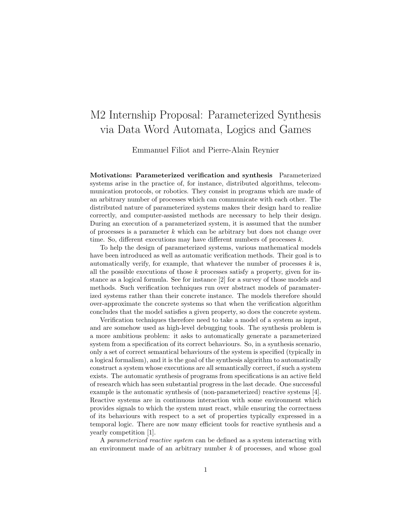## M2 Internship Proposal: Parameterized Synthesis via Data Word Automata, Logics and Games

Emmanuel Filiot and Pierre-Alain Reynier

Motivations: Parameterized verification and synthesis Parameterized systems arise in the practice of, for instance, distributed algorithms, telecommunication protocols, or robotics. They consist in programs which are made of an arbitrary number of processes which can communicate with each other. The distributed nature of parameterized systems makes their design hard to realize correctly, and computer-assisted methods are necessary to help their design. During an execution of a parameterized system, it is assumed that the number of processes is a parameter  $k$  which can be arbitrary but does not change over time. So, different executions may have different numbers of processes  $k$ .

To help the design of parameterized systems, various mathematical models have been introduced as well as automatic verification methods. Their goal is to automatically verify, for example, that whatever the number of processes  $k$  is, all the possible executions of those  $k$  processes satisfy a property, given for instance as a logical formula. See for instance [2] for a survey of those models and methods. Such verification techniques run over abstract models of paramaterized systems rather than their concrete instance. The models therefore should over-approximate the concrete systems so that when the verification algorithm concludes that the model satisfies a given property, so does the concrete system.

Verification techniques therefore need to take a model of a system as input, and are somehow used as high-level debugging tools. The synthesis problem is a more ambitious problem: it asks to automatically generate a parameterized system from a specification of its correct behaviours. So, in a synthesis scenario, only a set of correct semantical behaviours of the system is specified (typically in a logical formalism), and it is the goal of the synthesis algorithm to automatically construct a system whose executions are all semantically correct, if such a system exists. The automatic synthesis of programs from specifications is an active field of research which has seen substantial progress in the last decade. One successful example is the automatic synthesis of (non-parameterized) reactive systems [4]. Reactive systems are in continuous interaction with some environment which provides signals to which the system must react, while ensuring the correctness of its behaviours with respect to a set of properties typically expressed in a temporal logic. There are now many efficient tools for reactive synthesis and a yearly competition [1].

A parameterized reactive system can be defined as a system interacting with an environment made of an arbitrary number k of processes, and whose goal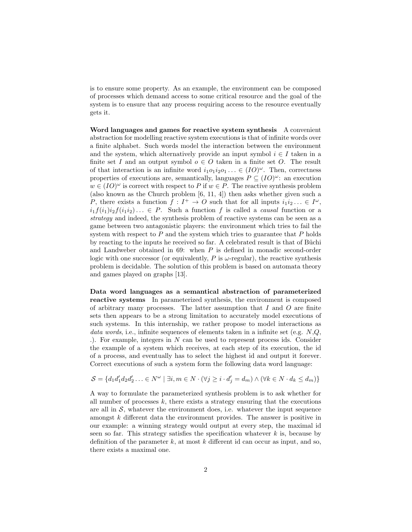is to ensure some property. As an example, the environment can be composed of processes which demand access to some critical resource and the goal of the system is to ensure that any process requiring access to the resource eventually gets it.

Word languages and games for reactive system synthesis A convenient abstraction for modelling reactive system executions is that of infinite words over a finite alphabet. Such words model the interaction between the environment and the system, which alternatively provide an input symbol  $i \in I$  taken in a finite set I and an output symbol  $o \in O$  taken in a finite set O. The result of that interaction is an infinite word  $i_1o_1i_2o_1 \ldots \in (IO)^{\omega}$ . Then, correctness properties of executions are, semantically, languages  $P \subseteq (IO)^{\omega}$ : an execution  $w \in (IO)^{\omega}$  is correct with respect to P if  $w \in P$ . The reactive synthesis problem (also known as the Church problem [6, 11, 4]) then asks whether given such a P, there exists a function  $f: I^+ \to O$  such that for all inputs  $i_1 i_2 ... \in I^{\omega}$ ,  $i_1f(i_1)i_2f(i_1i_2)\ldots \in P$ . Such a function f is called a *causal* function or a strategy and indeed, the synthesis problem of reactive systems can be seen as a game between two antagonistic players: the environment which tries to fail the system with respect to  $P$  and the system which tries to guarantee that  $P$  holds by reacting to the inputs he received so far. A celebrated result is that of Büchi and Landweber obtained in 69: when P is defined in monadic second-order logic with one successor (or equivalently,  $P$  is  $\omega$ -regular), the reactive synthesis problem is decidable. The solution of this problem is based on automata theory and games played on graphs [13].

Data word languages as a semantical abstraction of parameterized reactive systems In parameterized synthesis, the environment is composed of arbitrary many processes. The latter assumption that  $I$  and  $O$  are finite sets then appears to be a strong limitation to accurately model executions of such systems. In this internship, we rather propose to model interactions as data words, i.e., infinite sequences of elements taken in a infinite set (e.g.  $N,Q$ , .). For example, integers in  $N$  can be used to represent process ids. Consider the example of a system which receives, at each step of its execution, the id of a process, and eventually has to select the highest id and output it forever. Correct executions of such a system form the following data word language:

$$
\mathcal{S} = \{d_1 d_1' d_2 d_2' \ldots \in N^{\omega} \mid \exists i, m \in N \cdot (\forall j \geq i \cdot d_j' = d_m) \land (\forall k \in N \cdot d_k \leq d_m)\}
$$

A way to formulate the parameterized synthesis problem is to ask whether for all number of processes  $k$ , there exists a strategy ensuring that the executions are all in  $S$ , whatever the environment does, i.e. whatever the input sequence amongst k different data the environment provides. The answer is positive in our example: a winning strategy would output at every step, the maximal id seen so far. This strategy satisfies the specification whatever  $k$  is, because by definition of the parameter  $k$ , at most  $k$  different id can occur as input, and so, there exists a maximal one.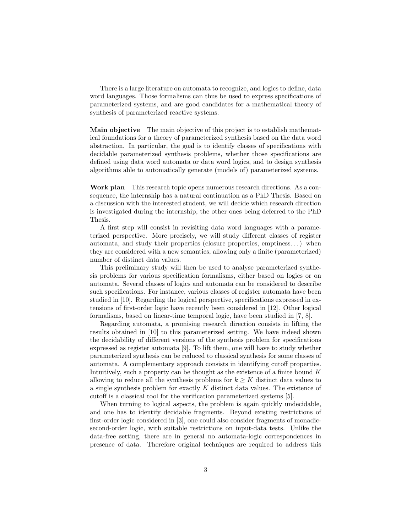There is a large literature on automata to recognize, and logics to define, data word languages. Those formalisms can thus be used to express specifications of parameterized systems, and are good candidates for a mathematical theory of synthesis of parameterized reactive systems.

Main objective The main objective of this project is to establish mathematical foundations for a theory of parameterized synthesis based on the data word abstraction. In particular, the goal is to identify classes of specifications with decidable parameterized synthesis problems, whether those specifications are defined using data word automata or data word logics, and to design synthesis algorithms able to automatically generate (models of) parameterized systems.

Work plan This research topic opens numerous research directions. As a consequence, the internship has a natural continuation as a PhD Thesis. Based on a discussion with the interested student, we will decide which research direction is investigated during the internship, the other ones being deferred to the PhD Thesis.

A first step will consist in revisiting data word languages with a parameterized perspective. More precisely, we will study different classes of register automata, and study their properties (closure properties, emptiness. . . ) when they are considered with a new semantics, allowing only a finite (parameterized) number of distinct data values.

This preliminary study will then be used to analyse parameterized synthesis problems for various specification formalisms, either based on logics or on automata. Several classes of logics and automata can be considered to describe such specifications. For instance, various classes of register automata have been studied in [10]. Regarding the logical perspective, specifications expressed in extensions of first-order logic have recently been considered in [12]. Other logical formalisms, based on linear-time temporal logic, have been studied in [7, 8].

Regarding automata, a promising research direction consists in lifting the results obtained in [10] to this parameterized setting. We have indeed shown the decidability of different versions of the synthesis problem for specifications expressed as register automata [9]. To lift them, one will have to study whether parameterized synthesis can be reduced to classical synthesis for some classes of automata. A complementary approach consists in identifying cutoff properties. Intuitively, such a property can be thought as the existence of a finite bound  $K$ allowing to reduce all the synthesis problems for  $k \geq K$  distinct data values to a single synthesis problem for exactly K distinct data values. The existence of cutoff is a classical tool for the verification parameterized systems [5].

When turning to logical aspects, the problem is again quickly undecidable, and one has to identify decidable fragments. Beyond existing restrictions of first-order logic considered in [3], one could also consider fragments of monadicsecond-order logic, with suitable restrictions on input-data tests. Unlike the data-free setting, there are in general no automata-logic correspondences in presence of data. Therefore original techniques are required to address this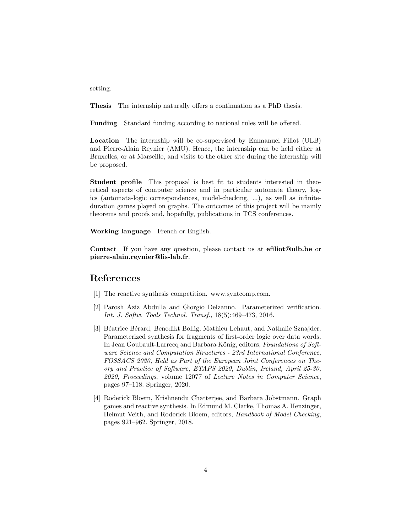setting.

Thesis The internship naturally offers a continuation as a PhD thesis.

Funding Standard funding according to national rules will be offered.

Location The internship will be co-supervised by Emmanuel Filiot (ULB) and Pierre-Alain Reynier (AMU). Hence, the internship can be held either at Bruxelles, or at Marseille, and visits to the other site during the internship will be proposed.

Student profile This proposal is best fit to students interested in theoretical aspects of computer science and in particular automata theory, logics (automata-logic correspondences, model-checking, ...), as well as infiniteduration games played on graphs. The outcomes of this project will be mainly theorems and proofs and, hopefully, publications in TCS conferences.

Working language French or English.

Contact If you have any question, please contact us at efiliot@ulb.be or pierre-alain.reynier@lis-lab.fr.

## References

- [1] The reactive synthesis competition. www.syntcomp.com.
- [2] Parosh Aziz Abdulla and Giorgio Delzanno. Parameterized verification. Int. J. Softw. Tools Technol. Transf., 18(5):469–473, 2016.
- [3] Béatrice Bérard, Benedikt Bollig, Mathieu Lehaut, and Nathalie Sznajder. Parameterized synthesis for fragments of first-order logic over data words. In Jean Goubault-Larrecq and Barbara König, editors, Foundations of Software Science and Computation Structures - 23rd International Conference, FOSSACS 2020, Held as Part of the European Joint Conferences on Theory and Practice of Software, ETAPS 2020, Dublin, Ireland, April 25-30, 2020, Proceedings, volume 12077 of Lecture Notes in Computer Science, pages 97–118. Springer, 2020.
- [4] Roderick Bloem, Krishnendu Chatterjee, and Barbara Jobstmann. Graph games and reactive synthesis. In Edmund M. Clarke, Thomas A. Henzinger, Helmut Veith, and Roderick Bloem, editors, Handbook of Model Checking, pages 921–962. Springer, 2018.